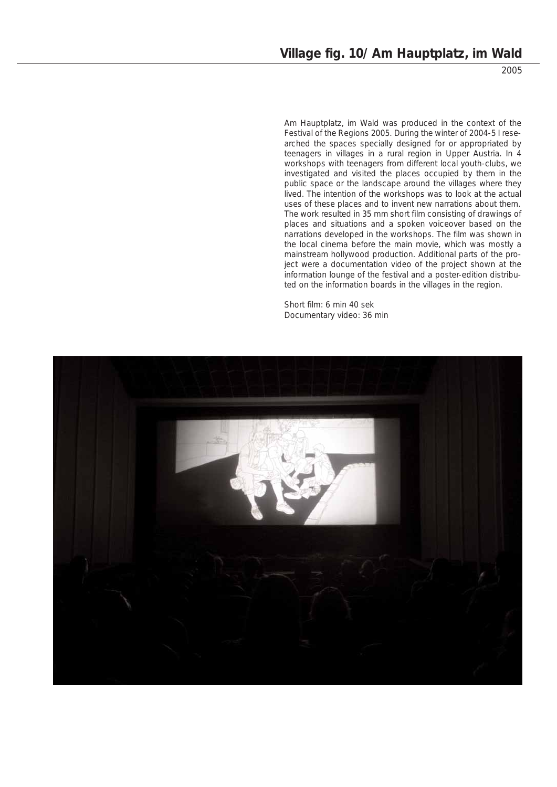2005

Am Hauptplatz, im Wald was produced in the context of the Festival of the Regions 2005. During the winter of 2004-5 I researched the spaces specially designed for or appropriated by teenagers in villages in a rural region in Upper Austria. In 4 workshops with teenagers from different local youth-clubs, we investigated and visited the places occupied by them in the public space or the landscape around the villages where they lived. The intention of the workshops was to look at the actual uses of these places and to invent new narrations about them. The work resulted in 35 mm short film consisting of drawings of places and situations and a spoken voiceover based on the narrations developed in the workshops. The film was shown in the local cinema before the main movie, which was mostly a mainstream hollywood production. Additional parts of the project were a documentation video of the project shown at the information lounge of the festival and a poster-edition distributed on the information boards in the villages in the region.

Short film: 6 min 40 sek Documentary video: 36 min

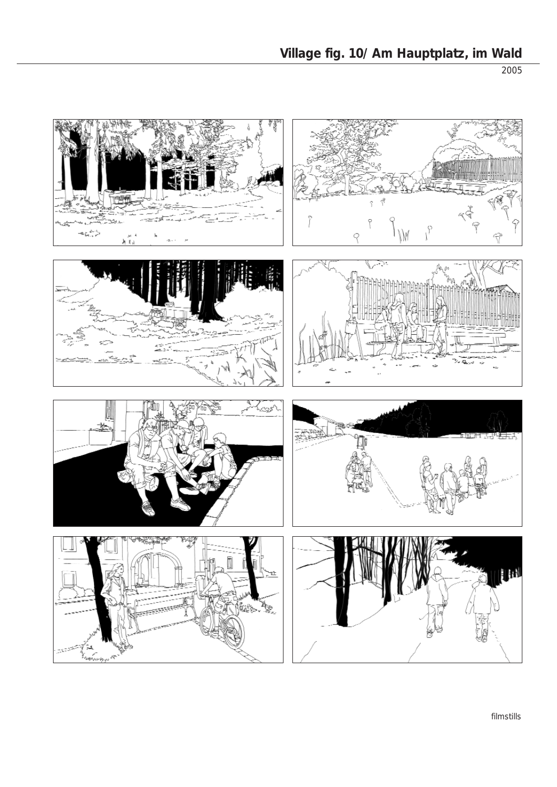2005

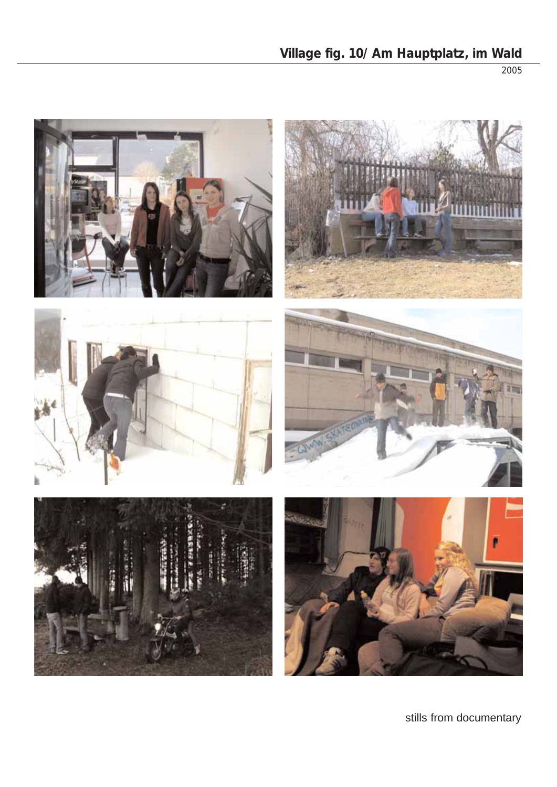**Village fig. 10/ Am Hauptplatz, im Wald**

2005



stills from documentary